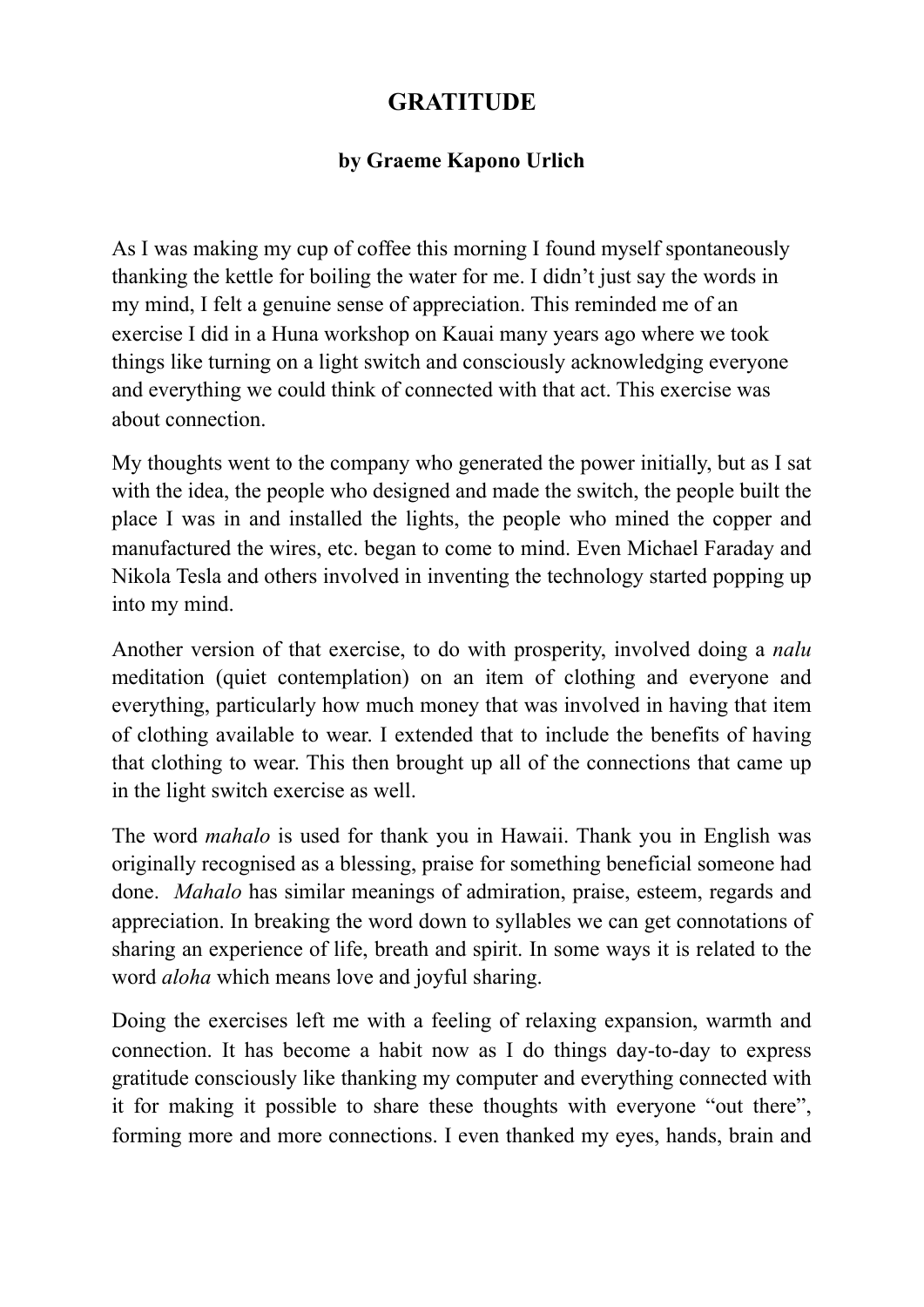## **GRATITUDE**

## **by Graeme Kapono Urlich**

As I was making my cup of coffee this morning I found myself spontaneously thanking the kettle for boiling the water for me. I didn't just say the words in my mind, I felt a genuine sense of appreciation. This reminded me of an exercise I did in a Huna workshop on Kauai many years ago where we took things like turning on a light switch and consciously acknowledging everyone and everything we could think of connected with that act. This exercise was about connection.

My thoughts went to the company who generated the power initially, but as I sat with the idea, the people who designed and made the switch, the people built the place I was in and installed the lights, the people who mined the copper and manufactured the wires, etc. began to come to mind. Even Michael Faraday and Nikola Tesla and others involved in inventing the technology started popping up into my mind.

Another version of that exercise, to do with prosperity, involved doing a *nalu* meditation (quiet contemplation) on an item of clothing and everyone and everything, particularly how much money that was involved in having that item of clothing available to wear. I extended that to include the benefits of having that clothing to wear. This then brought up all of the connections that came up in the light switch exercise as well.

The word *mahalo* is used for thank you in Hawaii. Thank you in English was originally recognised as a blessing, praise for something beneficial someone had done. *Mahalo* has similar meanings of admiration, praise, esteem, regards and appreciation. In breaking the word down to syllables we can get connotations of sharing an experience of life, breath and spirit. In some ways it is related to the word *aloha* which means love and joyful sharing.

Doing the exercises left me with a feeling of relaxing expansion, warmth and connection. It has become a habit now as I do things day-to-day to express gratitude consciously like thanking my computer and everything connected with it for making it possible to share these thoughts with everyone "out there", forming more and more connections. I even thanked my eyes, hands, brain and